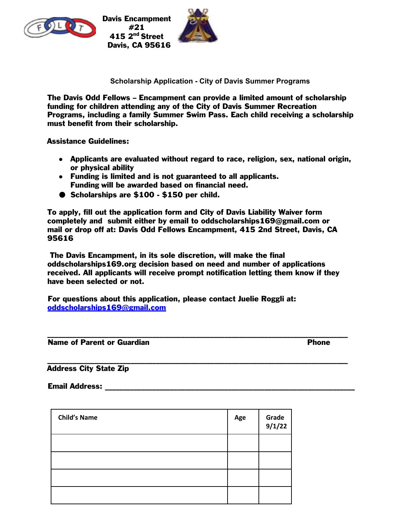

Davis Encampment #21 415 2<sup>nd</sup> Street Davis, CA 95616



**Scholarship Application - City of Davis Summer Programs** 

The Davis Odd Fellows – Encampment can provide a limited amount of scholarship funding for children attending any of the City of Davis Summer Recreation Programs, including a family Summer Swim Pass. Each child receiving a scholarship must benefit from their scholarship.

Assistance Guidelines:

- Applicants are evaluated without regard to race, religion, sex, national origin, or physical ability
- Funding is limited and is not guaranteed to all applicants. Funding will be awarded based on financial need.
- Scholarships are \$100 \$150 per child.

To apply, fill out the application form and City of Davis Liability Waiver form completely and submit either by email to oddscholarships169@gmail.com or mail or drop off at: Davis Odd Fellows Encampment, 415 2nd Street, Davis, CA 95616

The Davis Encampment, in its sole discretion, will make the final oddscholarships169.org decision based on need and number of applications received. All applicants will receive prompt notification letting them know if they have been selected or not.

For questions about this application, please contact Juelie Roggli at: oddscholarships169@gmail.com

\_\_\_\_\_\_\_\_\_\_\_\_\_\_\_\_\_\_\_\_\_\_\_\_\_\_\_\_\_\_\_\_\_\_\_\_\_\_\_\_\_\_\_\_\_\_\_\_\_\_\_\_\_\_\_\_\_\_\_\_\_\_\_\_\_\_\_\_\_\_\_\_\_\_\_\_\_\_\_\_\_\_\_ Name of Parent or Guardian **Phone** 

\_\_\_\_\_\_\_\_\_\_\_\_\_\_\_\_\_\_\_\_\_\_\_\_\_\_\_\_\_\_\_\_\_\_\_\_\_\_\_\_\_\_\_\_\_\_\_\_\_\_\_\_\_\_\_\_\_\_\_\_\_\_\_\_\_\_\_\_\_\_\_\_\_\_\_\_\_\_\_\_\_\_\_ Address City State Zip

Email Address: \_\_\_\_\_\_\_\_\_\_\_\_\_\_\_\_\_\_\_\_\_\_\_\_\_\_\_\_\_\_\_\_\_\_\_\_\_\_\_\_\_\_\_\_\_\_\_\_\_\_\_\_\_\_\_\_\_\_\_\_\_\_\_\_\_\_\_\_\_

| <b>Child's Name</b> | Age | Grade<br>9/1/22 |
|---------------------|-----|-----------------|
|                     |     |                 |
|                     |     |                 |
|                     |     |                 |
|                     |     |                 |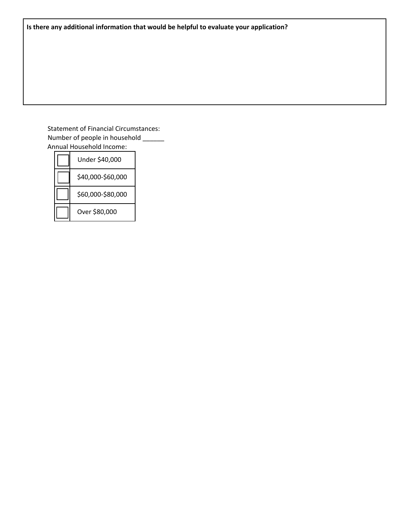## Statement of Financial Circumstances: Number of people in household \_\_\_\_\_\_ Annual Household Income:

| Under \$40,000    |
|-------------------|
| \$40,000-\$60,000 |
| \$60,000-\$80,000 |
| Over \$80,000     |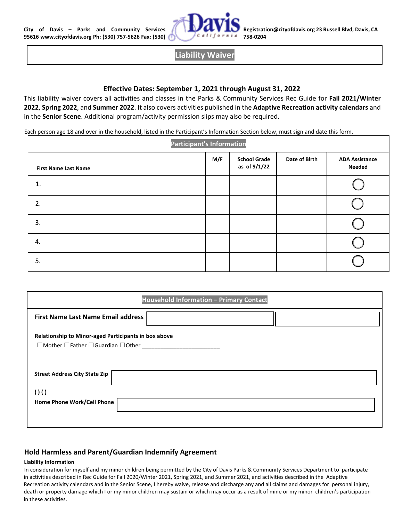

# **Liability Waiver**

## **Effective Dates: September 1, 2021 through August 31, 2022**

This liability waiver covers all activities and classes in the Parks & Community Services Rec Guide for **Fall 2021/Winter 2022**, **Spring 2022**, and **Summer 2022**. It also covers activities published in the **Adaptive Recreation activity calendars** and in the **Senior Scene**. Additional program/activity permission slips may also be required.

Each person age 18 and over in the household, listed in the Participant's Information Section below, must sign and date this form.

| <b>Participant's Information</b> |     |                                     |               |                                 |  |  |
|----------------------------------|-----|-------------------------------------|---------------|---------------------------------|--|--|
| <b>First Name Last Name</b>      | M/F | <b>School Grade</b><br>as of 9/1/22 | Date of Birth | <b>ADA Assistance</b><br>Needed |  |  |
| 1.                               |     |                                     |               |                                 |  |  |
| 2.                               |     |                                     |               |                                 |  |  |
| 3.                               |     |                                     |               |                                 |  |  |
| 4.                               |     |                                     |               |                                 |  |  |
| 5.                               |     |                                     |               |                                 |  |  |

| Household Information - Primary Contact                                                                          |  |  |  |  |  |  |
|------------------------------------------------------------------------------------------------------------------|--|--|--|--|--|--|
| <b>First Name Last Name Email address</b>                                                                        |  |  |  |  |  |  |
| Relationship to Minor-aged Participants in box above<br>$\Box$ Mother $\Box$ Father $\Box$ Guardian $\Box$ Other |  |  |  |  |  |  |
| <b>Street Address City State Zip</b>                                                                             |  |  |  |  |  |  |
| $\Omega$                                                                                                         |  |  |  |  |  |  |
| Home Phone Work/Cell Phone                                                                                       |  |  |  |  |  |  |
|                                                                                                                  |  |  |  |  |  |  |

### **Hold Harmless and Parent/Guardian Indemnify Agreement**

### **Liability Information**

In consideration for myself and my minor children being permitted by the City of Davis Parks & Community Services Department to participate in activities described in Rec Guide for Fall 2020/Winter 2021, Spring 2021, and Summer 2021, and activities described in the Adaptive Recreation activity calendars and in the Senior Scene, I hereby waive, release and discharge any and all claims and damages for personal injury, death or property damage which I or my minor children may sustain or which may occur as a result of mine or my minor children's participation in these activities.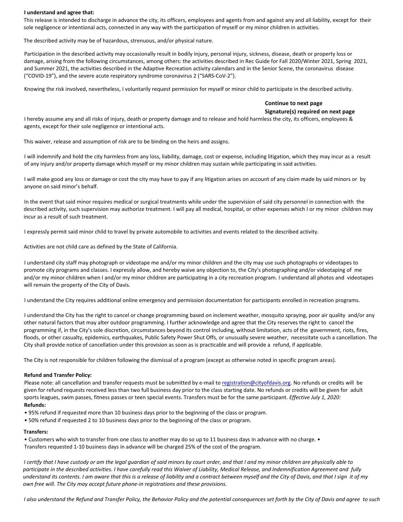#### **I understand and agree that:**

This release is intended to discharge in advance the city, its officers, employees and agents from and against any and all liability, except for their sole negligence or intentional acts, connected in any way with the participation of myself or my minor children in activities.

The described activity may be of hazardous, strenuous, and/or physical nature.

Participation in the described activity may occasionally result in bodily injury, personal injury, sickness, disease, death or property loss or damage, arising from the following circumstances, among others: the activities described in Rec Guide for Fall 2020/Winter 2021, Spring 2021, and Summer 2021, the activities described in the Adaptive Recreation activity calendars and in the Senior Scene, the coronavirus disease ("COVID-19"), and the severe acute respiratory syndrome coronavirus 2 ("SARS-CoV-2").

Knowing the risk involved, nevertheless, I voluntarily request permission for myself or minor child to participate in the described activity.

### **Continue to next page Signature(s) required on next page**

I hereby assume any and all risks of injury, death or property damage and to release and hold harmless the city, its officers, employees & agents, except for their sole negligence or intentional acts.

This waiver, release and assumption of risk are to be binding on the heirs and assigns.

I will indemnify and hold the city harmless from any loss, liability, damage, cost or expense, including litigation, which they may incur as a result of any injury and/or property damage which myself or my minor children may sustain while participating in said activities.

I will make good any loss or damage or cost the city may have to pay if any litigation arises on account of any claim made by said minors or by anyone on said minor's behalf.

In the event that said minor requires medical or surgical treatments while under the supervision of said city personnel in connection with the described activity, such supervision may authorize treatment. I will pay all medical, hospital, or other expenses which I or my minor children may incur as a result of such treatment.

I expressly permit said minor child to travel by private automobile to activities and events related to the described activity.

Activities are not child care as defined by the State of California.

I understand city staff may photograph or videotape me and/or my minor children and the city may use such photographs or videotapes to promote city programs and classes. I expressly allow, and hereby waive any objection to, the City's photographing and/or videotaping of me and/or my minor children when I and/or my minor children are participating in a city recreation program. I understand all photos and videotapes will remain the property of the City of Davis.

I understand the City requires additional online emergency and permission documentation for participants enrolled in recreation programs.

I understand the City has the right to cancel or change programming based on inclement weather, mosquito spraying, poor air quality and/or any other natural factors that may alter outdoor programming. I further acknowledge and agree that the City reserves the right to cancel the programming if, in the City's sole discretion, circumstances beyond its control including, without limitation, acts of the government, riots, fires, floods, or other casualty, epidemics, earthquakes, Public Safety Power Shut Offs, or unusually severe weather, necessitate such a cancellation. The City shall provide notice of cancellation under this provision as soon as is practicable and will provide a refund, if applicable.

The City is not responsible for children following the dismissal of a program (except as otherwise noted in specific program areas).

#### **Refund and Transfer Policy:**

Please note: all cancellation and transfer requests must be submitted by e-mail to registration@cityofdavis.org. No refunds or credits will be given for refund requests received less than two full business day prior to the class starting date. No refunds or credits will be given for adult sports leagues, swim passes, fitness passes or teen special events. Transfers must be for the same participant. *Effective July 1, 2020:*  **Refunds:** 

- 95% refund if requested more than 10 business days prior to the beginning of the class or program.
- 50% refund if requested 2 to 10 business days prior to the beginning of the class or program.

#### **Transfers:**

• Customers who wish to transfer from one class to another may do so up to 11 business days in advance with no charge. • Transfers requested 1-10 business days in advance will be charged 25% of the cost of the program.

*I certify that I have custody or am the legal guardian of said minors by court order, and that I and my minor children are physically able to*  participate in the described activities. I have carefully read this Waiver of Liability, Medical Release, and Indemnification Agreement and fully *understand its contents. I am aware that this is a release of liability and a contract between myself and the City of Davis, and that I sign it of my own free will. The City may accept future phone-in registrations and these provisions.* 

*I also understand the Refund and Transfer Policy, the Behavior Policy and the potential consequences set forth by the City of Davis and agree to such*